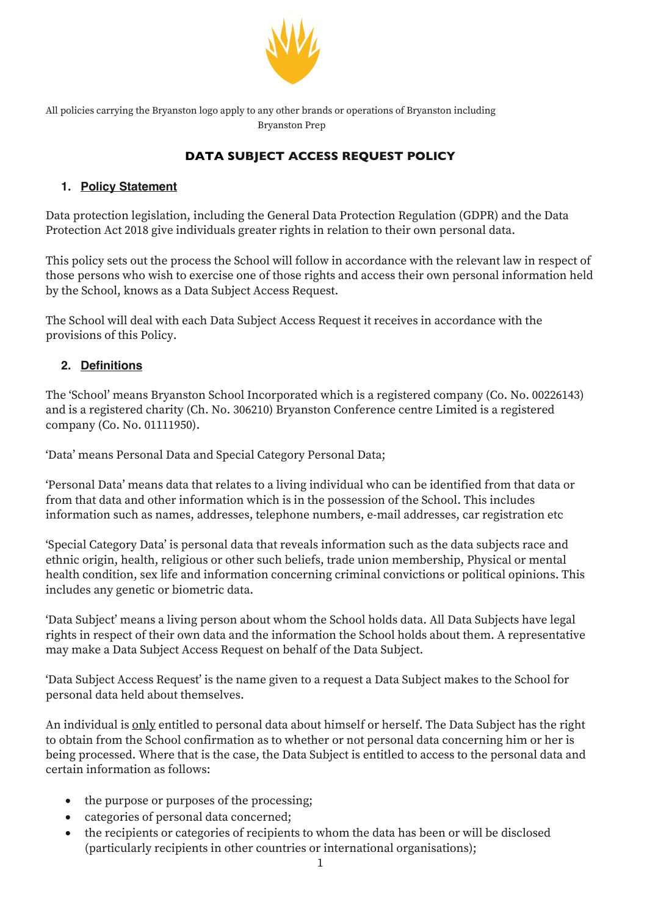

All policies carrying the Bryanston logo apply to any other brands or operations of Bryanston including Bryanston Prep

# **DATA SUBJECT ACCESS REQUEST POLICY**

## **1. Policy Statement**

Data protection legislation, including the General Data Protection Regulation (GDPR) and the Data Protection Act 2018 give individuals greater rights in relation to their own personal data.

This policy sets out the process the School will follow in accordance with the relevant law in respect of those persons who wish to exercise one of those rights and access their own personal information held by the School, knows as a Data Subject Access Request.

The School will deal with each Data Subject Access Request it receives in accordance with the provisions of this Policy.

## **2. Definitions**

The 'School' means Bryanston School Incorporated which is a registered company (Co. No. 00226143) and is a registered charity (Ch. No. 306210) Bryanston Conference centre Limited is a registered company (Co. No. 01111950).

'Data' means Personal Data and Special Category Personal Data;

'Personal Data' means data that relates to a living individual who can be identified from that data or from that data and other information which is in the possession of the School. This includes information such as names, addresses, telephone numbers, e-mail addresses, car registration etc

'Special Category Data' is personal data that reveals information such as the data subjects race and ethnic origin, health, religious or other such beliefs, trade union membership, Physical or mental health condition, sex life and information concerning criminal convictions or political opinions. This includes any genetic or biometric data.

'Data Subject' means a living person about whom the School holds data. All Data Subjects have legal rights in respect of their own data and the information the School holds about them. A representative may make a Data Subject Access Request on behalf of the Data Subject.

'Data Subject Access Request' is the name given to a request a Data Subject makes to the School for personal data held about themselves.

An individual is only entitled to personal data about himself or herself. The Data Subject has the right to obtain from the School confirmation as to whether or not personal data concerning him or her is being processed. Where that is the case, the Data Subject is entitled to access to the personal data and certain information as follows:

- the purpose or purposes of the processing;
- categories of personal data concerned;
- the recipients or categories of recipients to whom the data has been or will be disclosed (particularly recipients in other countries or international organisations);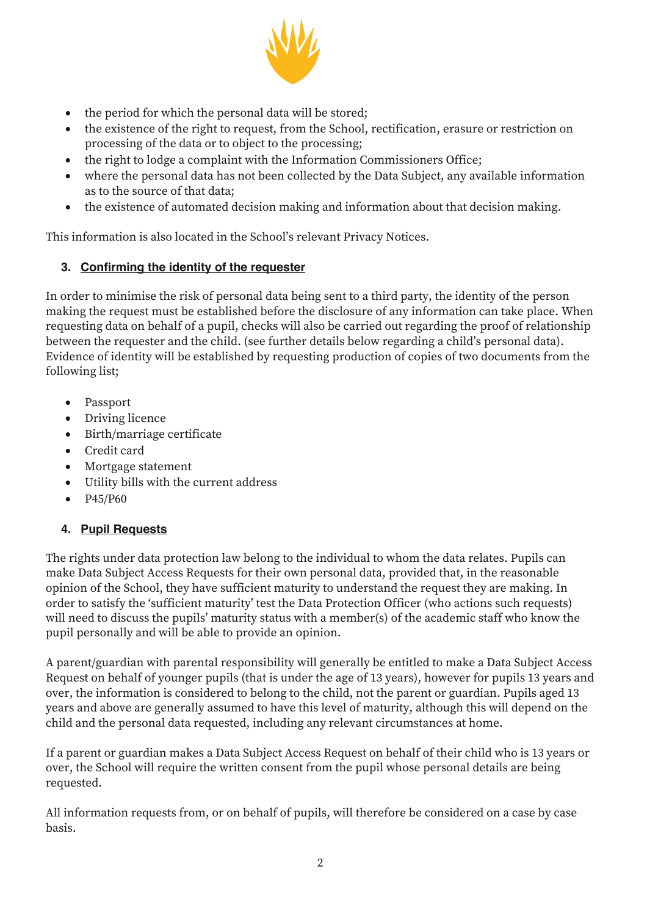

- the period for which the personal data will be stored;
- the existence of the right to request, from the School, rectification, erasure or restriction on processing of the data or to object to the processing;
- the right to lodge a complaint with the Information Commissioners Office;
- where the personal data has not been collected by the Data Subject, any available information as to the source of that data;
- the existence of automated decision making and information about that decision making.

This information is also located in the School's relevant Privacy Notices.

#### **3. Confirming the identity of the requester**

In order to minimise the risk of personal data being sent to a third party, the identity of the person making the request must be established before the disclosure of any information can take place. When requesting data on behalf of a pupil, checks will also be carried out regarding the proof of relationship between the requester and the child. (see further details below regarding a child's personal data). Evidence of identity will be established by requesting production of copies of two documents from the following list;

- Passport
- Driving licence
- Birth/marriage certificate
- Credit card
- Mortgage statement
- Utility bills with the current address
- P45/P60

#### **4. Pupil Requests**

The rights under data protection law belong to the individual to whom the data relates. Pupils can make Data Subject Access Requests for their own personal data, provided that, in the reasonable opinion of the School, they have sufficient maturity to understand the request they are making. In order to satisfy the 'sufficient maturity' test the Data Protection Officer (who actions such requests) will need to discuss the pupils' maturity status with a member(s) of the academic staff who know the pupil personally and will be able to provide an opinion.

A parent/guardian with parental responsibility will generally be entitled to make a Data Subject Access Request on behalf of younger pupils (that is under the age of 13 years), however for pupils 13 years and over, the information is considered to belong to the child, not the parent or guardian. Pupils aged 13 years and above are generally assumed to have this level of maturity, although this will depend on the child and the personal data requested, including any relevant circumstances at home.

If a parent or guardian makes a Data Subject Access Request on behalf of their child who is 13 years or over, the School will require the written consent from the pupil whose personal details are being requested.

All information requests from, or on behalf of pupils, will therefore be considered on a case by case basis.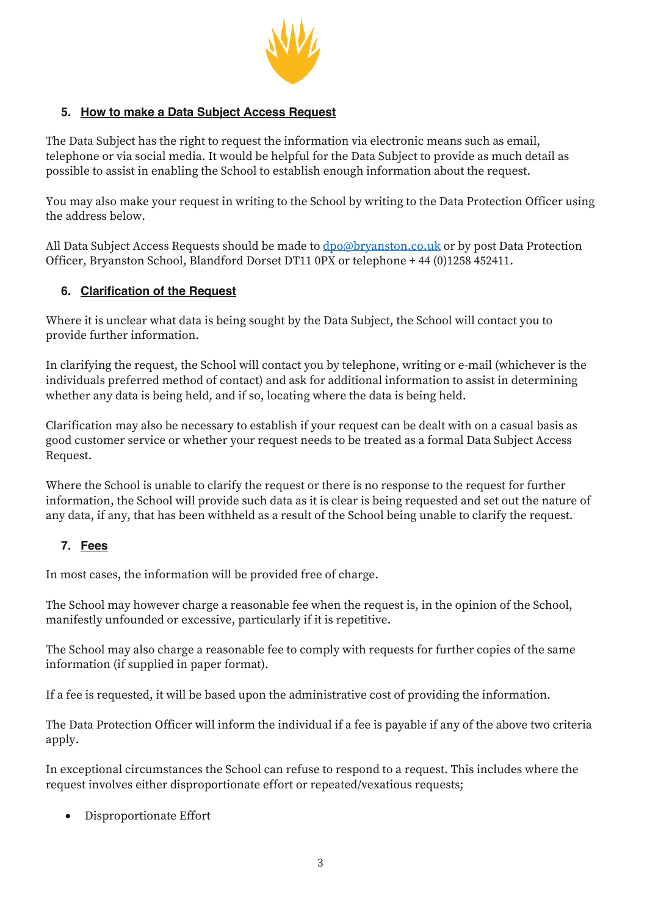

## **5. How to make a Data Subject Access Request**

The Data Subject has the right to request the information via electronic means such as email, telephone or via social media. It would be helpful for the Data Subject to provide as much detail as possible to assist in enabling the School to establish enough information about the request.

You may also make your request in writing to the School by writing to the Data Protection Officer using the address below.

All Data Subject Access Requests should be made to <u>dpo@bryanston.co.uk</u> or by post Data Protection Officer, Bryanston School, Blandford Dorset DT11 0PX or telephone + 44 (0)1258 452411.

#### **6. Clarification of the Request**

Where it is unclear what data is being sought by the Data Subject, the School will contact you to provide further information.

In clarifying the request, the School will contact you by telephone, writing or e-mail (whichever is the individuals preferred method of contact) and ask for additional information to assist in determining whether any data is being held, and if so, locating where the data is being held.

Clarification may also be necessary to establish if your request can be dealt with on a casual basis as good customer service or whether your request needs to be treated as a formal Data Subject Access Request.

Where the School is unable to clarify the request or there is no response to the request for further information, the School will provide such data as it is clear is being requested and set out the nature of any data, if any, that has been withheld as a result of the School being unable to clarify the request.

#### **7. Fees**

In most cases, the information will be provided free of charge.

The School may however charge a reasonable fee when the request is, in the opinion of the School, manifestly unfounded or excessive, particularly if it is repetitive.

The School may also charge a reasonable fee to comply with requests for further copies of the same information (if supplied in paper format).

If a fee is requested, it will be based upon the administrative cost of providing the information.

The Data Protection Officer will inform the individual if a fee is payable if any of the above two criteria apply.

In exceptional circumstances the School can refuse to respond to a request. This includes where the request involves either disproportionate effort or repeated/vexatious requests;

• Disproportionate Effort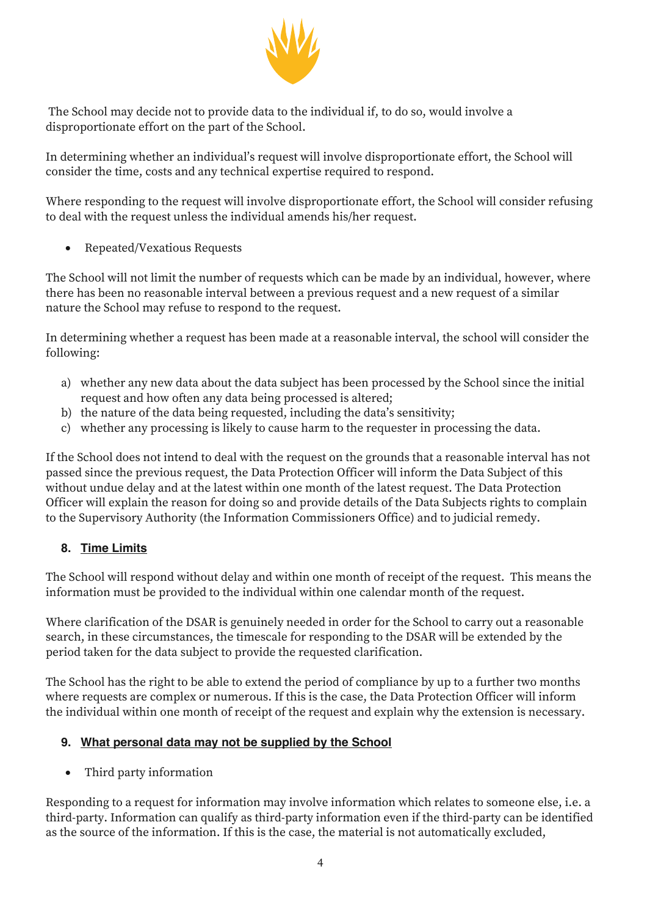

The School may decide not to provide data to the individual if, to do so, would involve a disproportionate effort on the part of the School.

In determining whether an individual's request will involve disproportionate effort, the School will consider the time, costs and any technical expertise required to respond.

Where responding to the request will involve disproportionate effort, the School will consider refusing to deal with the request unless the individual amends his/her request.

• Repeated/Vexatious Requests

The School will not limit the number of requests which can be made by an individual, however, where there has been no reasonable interval between a previous request and a new request of a similar nature the School may refuse to respond to the request.

In determining whether a request has been made at a reasonable interval, the school will consider the following:

- a) whether any new data about the data subject has been processed by the School since the initial request and how often any data being processed is altered;
- b) the nature of the data being requested, including the data's sensitivity;
- c) whether any processing is likely to cause harm to the requester in processing the data.

If the School does not intend to deal with the request on the grounds that a reasonable interval has not passed since the previous request, the Data Protection Officer will inform the Data Subject of this without undue delay and at the latest within one month of the latest request. The Data Protection Officer will explain the reason for doing so and provide details of the Data Subjects rights to complain to the Supervisory Authority (the Information Commissioners Office) and to judicial remedy.

#### **8. Time Limits**

The School will respond without delay and within one month of receipt of the request. This means the information must be provided to the individual within one calendar month of the request.

Where clarification of the DSAR is genuinely needed in order for the School to carry out a reasonable search, in these circumstances, the timescale for responding to the DSAR will be extended by the period taken for the data subject to provide the requested clarification.

The School has the right to be able to extend the period of compliance by up to a further two months where requests are complex or numerous. If this is the case, the Data Protection Officer will inform the individual within one month of receipt of the request and explain why the extension is necessary.

#### **9. What personal data may not be supplied by the School**

• Third party information

Responding to a request for information may involve information which relates to someone else, i.e. a third-party. Information can qualify as third-party information even if the third-party can be identified as the source of the information. If this is the case, the material is not automatically excluded,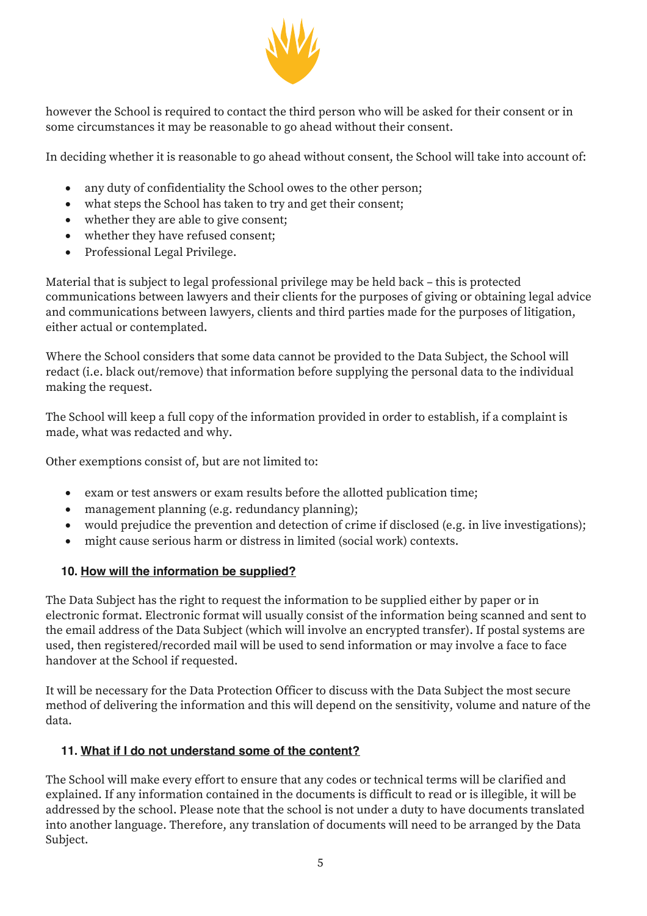

however the School is required to contact the third person who will be asked for their consent or in some circumstances it may be reasonable to go ahead without their consent.

In deciding whether it is reasonable to go ahead without consent, the School will take into account of:

- any duty of confidentiality the School owes to the other person;
- what steps the School has taken to try and get their consent;
- whether they are able to give consent;
- whether they have refused consent;
- Professional Legal Privilege.

Material that is subject to legal professional privilege may be held back – this is protected communications between lawyers and their clients for the purposes of giving or obtaining legal advice and communications between lawyers, clients and third parties made for the purposes of litigation, either actual or contemplated.

Where the School considers that some data cannot be provided to the Data Subject, the School will redact (i.e. black out/remove) that information before supplying the personal data to the individual making the request.

The School will keep a full copy of the information provided in order to establish, if a complaint is made, what was redacted and why.

Other exemptions consist of, but are not limited to:

- exam or test answers or exam results before the allotted publication time;
- management planning (e.g. redundancy planning);
- would prejudice the prevention and detection of crime if disclosed (e.g. in live investigations);
- might cause serious harm or distress in limited (social work) contexts.

#### **10. How will the information be supplied?**

The Data Subject has the right to request the information to be supplied either by paper or in electronic format. Electronic format will usually consist of the information being scanned and sent to the email address of the Data Subject (which will involve an encrypted transfer). If postal systems are used, then registered/recorded mail will be used to send information or may involve a face to face handover at the School if requested.

It will be necessary for the Data Protection Officer to discuss with the Data Subject the most secure method of delivering the information and this will depend on the sensitivity, volume and nature of the data.

#### **11. What if I do not understand some of the content?**

The School will make every effort to ensure that any codes or technical terms will be clarified and explained. If any information contained in the documents is difficult to read or is illegible, it will be addressed by the school. Please note that the school is not under a duty to have documents translated into another language. Therefore, any translation of documents will need to be arranged by the Data Subject.